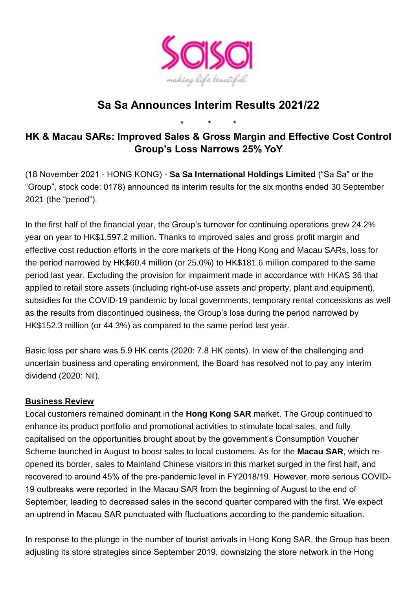

# **Sa Sa Announces Interim Results 2021/22**

**HK & Macau SARs: Improved Sales & Gross Margin and Effective Cost Control Group's Loss Narrows 25% YoY**

**\* \* \***

(18 November 2021 - HONG KONG) - **Sa Sa International Holdings Limited** ("Sa Sa" or the "Group", stock code: 0178) announced its interim results for the six months ended 30 September 2021 (the "period").

In the first half of the financial year, the Group's turnover for continuing operations grew 24.2% year on year to HK\$1,597.2 million. Thanks to improved sales and gross profit margin and effective cost reduction efforts in the core markets of the Hong Kong and Macau SARs, loss for the period narrowed by HK\$60.4 million (or 25.0%) to HK\$181.6 million compared to the same period last year. Excluding the provision for impairment made in accordance with HKAS 36 that applied to retail store assets (including right-of-use assets and property, plant and equipment), subsidies for the COVID-19 pandemic by local governments, temporary rental concessions as well as the results from discontinued business, the Group's loss during the period narrowed by HK\$152.3 million (or 44.3%) as compared to the same period last year.

Basic loss per share was 5.9 HK cents (2020: 7.8 HK cents). In view of the challenging and uncertain business and operating environment, the Board has resolved not to pay any interim dividend (2020: Nil).

## **Business Review**

Local customers remained dominant in the **Hong Kong SAR** market. The Group continued to enhance its product portfolio and promotional activities to stimulate local sales, and fully capitalised on the opportunities brought about by the government's Consumption Voucher Scheme launched in August to boost sales to local customers. As for the **Macau SAR**, which reopened its border, sales to Mainland Chinese visitors in this market surged in the first half, and recovered to around 45% of the pre-pandemic level in FY2018/19. However, more serious COVID-19 outbreaks were reported in the Macau SAR from the beginning of August to the end of September, leading to decreased sales in the second quarter compared with the first. We expect an uptrend in Macau SAR punctuated with fluctuations according to the pandemic situation.

In response to the plunge in the number of tourist arrivals in Hong Kong SAR, the Group has been adjusting its store strategies since September 2019, downsizing the store network in the Hong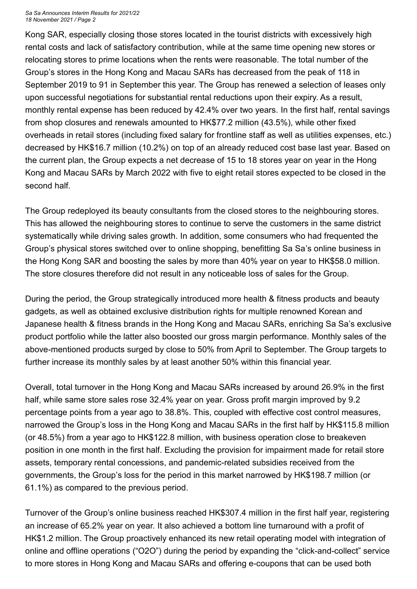*Sa Sa Announces Interim Results for 2021/22 18 November 2021 / Page 2*

Kong SAR, especially closing those stores located in the tourist districts with excessively high rental costs and lack of satisfactory contribution, while at the same time opening new stores or relocating stores to prime locations when the rents were reasonable. The total number of the Group's stores in the Hong Kong and Macau SARs has decreased from the peak of 118 in September 2019 to 91 in September this year. The Group has renewed a selection of leases only upon successful negotiations for substantial rental reductions upon their expiry. As a result, monthly rental expense has been reduced by 42.4% over two years. In the first half, rental savings from shop closures and renewals amounted to HK\$77.2 million (43.5%), while other fixed overheads in retail stores (including fixed salary for frontline staff as well as utilities expenses, etc.) decreased by HK\$16.7 million (10.2%) on top of an already reduced cost base last year. Based on the current plan, the Group expects a net decrease of 15 to 18 stores year on year in the Hong Kong and Macau SARs by March 2022 with five to eight retail stores expected to be closed in the second half.

The Group redeployed its beauty consultants from the closed stores to the neighbouring stores. This has allowed the neighbouring stores to continue to serve the customers in the same district systematically while driving sales growth. In addition, some consumers who had frequented the Group's physical stores switched over to online shopping, benefitting Sa Sa's online business in the Hong Kong SAR and boosting the sales by more than 40% year on year to HK\$58.0 million. The store closures therefore did not result in any noticeable loss of sales for the Group.

During the period, the Group strategically introduced more health & fitness products and beauty gadgets, as well as obtained exclusive distribution rights for multiple renowned Korean and Japanese health & fitness brands in the Hong Kong and Macau SARs, enriching Sa Sa's exclusive product portfolio while the latter also boosted our gross margin performance. Monthly sales of the above-mentioned products surged by close to 50% from April to September. The Group targets to further increase its monthly sales by at least another 50% within this financial year.

Overall, total turnover in the Hong Kong and Macau SARs increased by around 26.9% in the first half, while same store sales rose 32.4% year on year. Gross profit margin improved by 9.2 percentage points from a year ago to 38.8%. This, coupled with effective cost control measures, narrowed the Group's loss in the Hong Kong and Macau SARs in the first half by HK\$115.8 million (or 48.5%) from a year ago to HK\$122.8 million, with business operation close to breakeven position in one month in the first half. Excluding the provision for impairment made for retail store assets, temporary rental concessions, and pandemic-related subsidies received from the governments, the Group's loss for the period in this market narrowed by HK\$198.7 million (or 61.1%) as compared to the previous period.

Turnover of the Group's online business reached HK\$307.4 million in the first half year, registering an increase of 65.2% year on year. It also achieved a bottom line turnaround with a profit of HK\$1.2 million. The Group proactively enhanced its new retail operating model with integration of online and offline operations ("O2O") during the period by expanding the "click-and-collect" service to more stores in Hong Kong and Macau SARs and offering e-coupons that can be used both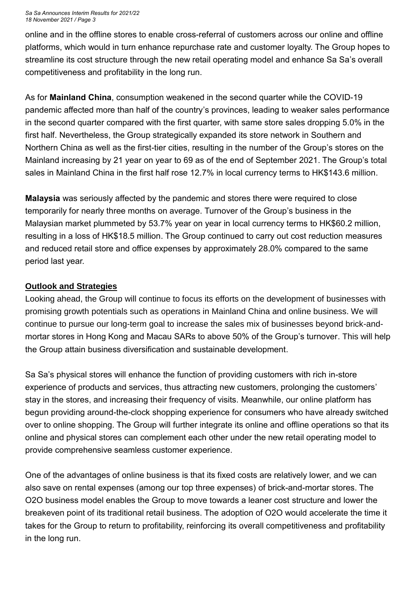#### *Sa Sa Announces Interim Results for 2021/22 18 November 2021 / Page 3*

online and in the offline stores to enable cross-referral of customers across our online and offline platforms, which would in turn enhance repurchase rate and customer loyalty. The Group hopes to streamline its cost structure through the new retail operating model and enhance Sa Sa's overall competitiveness and profitability in the long run.

As for **Mainland China**, consumption weakened in the second quarter while the COVID-19 pandemic affected more than half of the country's provinces, leading to weaker sales performance in the second quarter compared with the first quarter, with same store sales dropping 5.0% in the first half. Nevertheless, the Group strategically expanded its store network in Southern and Northern China as well as the first-tier cities, resulting in the number of the Group's stores on the Mainland increasing by 21 year on year to 69 as of the end of September 2021. The Group's total sales in Mainland China in the first half rose 12.7% in local currency terms to HK\$143.6 million.

**Malaysia** was seriously affected by the pandemic and stores there were required to close temporarily for nearly three months on average. Turnover of the Group's business in the Malaysian market plummeted by 53.7% year on year in local currency terms to HK\$60.2 million, resulting in a loss of HK\$18.5 million. The Group continued to carry out cost reduction measures and reduced retail store and office expenses by approximately 28.0% compared to the same period last year.

### **Outlook and Strategies**

Looking ahead, the Group will continue to focus its efforts on the development of businesses with promising growth potentials such as operations in Mainland China and online business. We will continue to pursue our long-term goal to increase the sales mix of businesses beyond brick-andmortar stores in Hong Kong and Macau SARs to above 50% of the Group's turnover. This will help the Group attain business diversification and sustainable development.

Sa Sa's physical stores will enhance the function of providing customers with rich in-store experience of products and services, thus attracting new customers, prolonging the customers' stay in the stores, and increasing their frequency of visits. Meanwhile, our online platform has begun providing around-the-clock shopping experience for consumers who have already switched over to online shopping. The Group will further integrate its online and offline operations so that its online and physical stores can complement each other under the new retail operating model to provide comprehensive seamless customer experience.

One of the advantages of online business is that its fixed costs are relatively lower, and we can also save on rental expenses (among our top three expenses) of brick-and-mortar stores. The O2O business model enables the Group to move towards a leaner cost structure and lower the breakeven point of its traditional retail business. The adoption of O2O would accelerate the time it takes for the Group to return to profitability, reinforcing its overall competitiveness and profitability in the long run.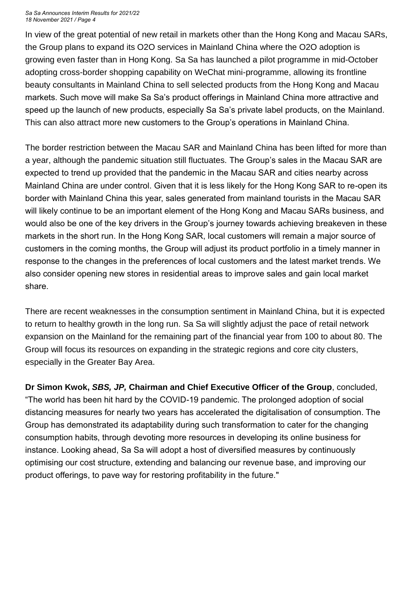#### *Sa Sa Announces Interim Results for 2021/22 18 November 2021 / Page 4*

In view of the great potential of new retail in markets other than the Hong Kong and Macau SARs, the Group plans to expand its O2O services in Mainland China where the O2O adoption is growing even faster than in Hong Kong. Sa Sa has launched a pilot programme in mid-October adopting cross-border shopping capability on WeChat mini-programme, allowing its frontline beauty consultants in Mainland China to sell selected products from the Hong Kong and Macau markets. Such move will make Sa Sa's product offerings in Mainland China more attractive and speed up the launch of new products, especially Sa Sa's private label products, on the Mainland. This can also attract more new customers to the Group's operations in Mainland China.

The border restriction between the Macau SAR and Mainland China has been lifted for more than a year, although the pandemic situation still fluctuates. The Group's sales in the Macau SAR are expected to trend up provided that the pandemic in the Macau SAR and cities nearby across Mainland China are under control. Given that it is less likely for the Hong Kong SAR to re-open its border with Mainland China this year, sales generated from mainland tourists in the Macau SAR will likely continue to be an important element of the Hong Kong and Macau SARs business, and would also be one of the key drivers in the Group's journey towards achieving breakeven in these markets in the short run. In the Hong Kong SAR, local customers will remain a major source of customers in the coming months, the Group will adjust its product portfolio in a timely manner in response to the changes in the preferences of local customers and the latest market trends. We also consider opening new stores in residential areas to improve sales and gain local market share.

There are recent weaknesses in the consumption sentiment in Mainland China, but it is expected to return to healthy growth in the long run. Sa Sa will slightly adjust the pace of retail network expansion on the Mainland for the remaining part of the financial year from 100 to about 80. The Group will focus its resources on expanding in the strategic regions and core city clusters, especially in the Greater Bay Area.

**Dr Simon Kwok,** *SBS, JP,* **Chairman and Chief Executive Officer of the Group**, concluded, "The world has been hit hard by the COVID-19 pandemic. The prolonged adoption of social distancing measures for nearly two years has accelerated the digitalisation of consumption. The Group has demonstrated its adaptability during such transformation to cater for the changing consumption habits, through devoting more resources in developing its online business for instance. Looking ahead, Sa Sa will adopt a host of diversified measures by continuously optimising our cost structure, extending and balancing our revenue base, and improving our product offerings, to pave way for restoring profitability in the future."